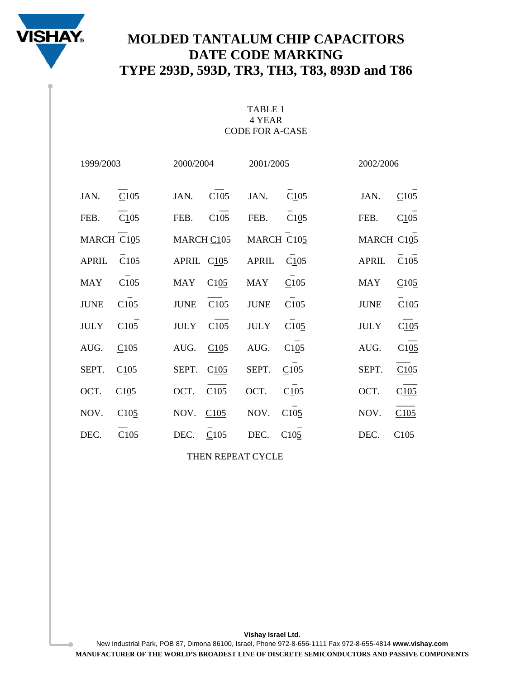

# **MOLDED TANTALUM CHIP CAPACITORS DATE CODE MARKING TYPE 293D, 593D, TR3, TH3, T83, 893D and T86**

### TABLE 1 4 YEAR CODE FOR A-CASE

| 1999/2003    |                  | 2000/2004   |      | 2001/2005    |                  | 2002/2006    |      |
|--------------|------------------|-------------|------|--------------|------------------|--------------|------|
| JAN.         | C105             | JAN.        | C105 | JAN.         | C105             | JAN.         | C105 |
| FEB.         | C105             | FEB.        | C105 | FEB.         | C105             | FEB.         | C105 |
| MARCH C105   |                  | MARCH C105  |      | MARCH C105   |                  | MARCH C105   |      |
| <b>APRIL</b> | C <sub>105</sub> | APRIL C105  |      | <b>APRIL</b> | C105             | <b>APRIL</b> | C105 |
| <b>MAY</b>   | C105             | <b>MAY</b>  | C105 | <b>MAY</b>   | C105             | <b>MAY</b>   | C105 |
| <b>JUNE</b>  | C105             | <b>JUNE</b> | C105 | <b>JUNE</b>  | C105             | <b>JUNE</b>  | C105 |
| <b>JULY</b>  | C <sub>105</sub> | <b>JULY</b> | C105 | <b>JULY</b>  | C105             | <b>JULY</b>  | C105 |
| AUG.         | C105             | AUG.        | C105 | AUG.         | C105             | AUG.         | C105 |
| SEPT.        | C105             | SEPT.       | C105 | SEPT.        | C105             | SEPT.        | C105 |
| OCT.         | C105             | OCT.        | C105 | OCT.         | C105             | OCT.         | C105 |
| NOV.         | C105             | NOV.        | C105 | NOV.         | C105             | NOV.         | C105 |
| DEC.         | C105             | DEC.        | C105 | DEC.         | C <sub>105</sub> | DEC.         | C105 |
|              |                  |             |      |              |                  |              |      |

THEN REPEAT CYCLE

New Industrial Park, POB 87, Dimona 86100, Israel, Phone 972-8-656-1111 Fax 972-8-655-4814 **www.vishay.com MANUFACTURER OF THE WORLD'S BROADEST LINE OF DISCRETE SEMICONDUCTORS AND PASSIVE COMPONENTS**

**Vishay Israel Ltd.**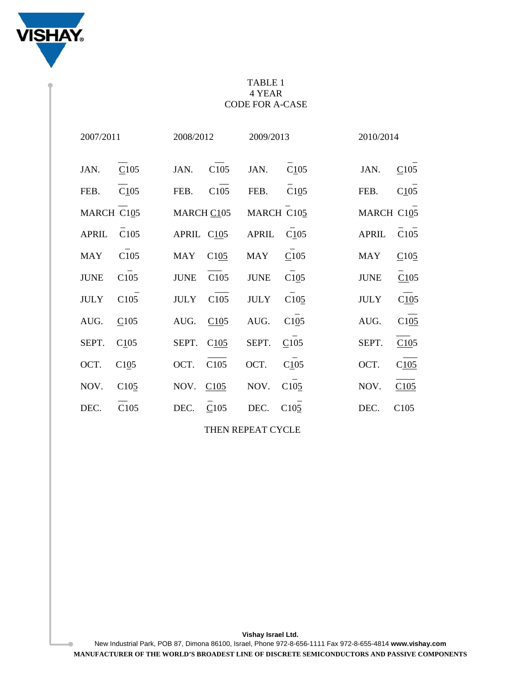

## TABLE 1 4 YEAR CODE FOR A-CASE

| 2007/2011    |                  | 2008/2012   |      | 2009/2013   |                  | 2010/2014    |      |
|--------------|------------------|-------------|------|-------------|------------------|--------------|------|
| JAN.         | C105             | JAN.        | C105 | JAN.        | C105             | JAN.         | C105 |
| FEB.         | C105             | FEB.        | C105 | FEB.        | C105             | FEB.         | C105 |
| MARCH C105   |                  | MARCH C105  |      | MARCH C105  |                  | MARCH C105   |      |
| <b>APRIL</b> | C105             | APRIL C105  |      | APRIL C105  |                  | <b>APRIL</b> | C105 |
| <b>MAY</b>   | C105             | <b>MAY</b>  | C105 | <b>MAY</b>  | C105             | <b>MAY</b>   | C105 |
| <b>JUNE</b>  | C105             | <b>JUNE</b> | C105 | <b>JUNE</b> | C105             | <b>JUNE</b>  | C105 |
| <b>JULY</b>  | C <sub>105</sub> | <b>JULY</b> | C105 | <b>JULY</b> | C <sub>105</sub> | <b>JULY</b>  | C105 |
| AUG.         | C105             | AUG.        | C105 | AUG.        | C105             | AUG.         | C105 |
| SEPT.        | C105             | SEPT.       | C105 | SEPT.       | C105             | SEPT.        | C105 |
| OCT.         | C105             | OCT.        | C105 | OCT.        | C105             | OCT.         | C105 |
| NOV.         | C <sub>105</sub> | NOV.        | C105 | NOV.        | C105             | NOV.         | C105 |
| DEC.         | C105             | DEC.        | C105 | DEC.        | C <sub>105</sub> | DEC.         | C105 |
|              |                  |             |      |             |                  |              |      |

THEN REPEAT CYCLE

New Industrial Park, POB 87, Dimona 86100, Israel, Phone 972-8-656-1111 Fax 972-8-655-4814 **www.vishay.com MANUFACTURER OF THE WORLD'S BROADEST LINE OF DISCRETE SEMICONDUCTORS AND PASSIVE COMPONENTS**

**Vishay Israel Ltd.**